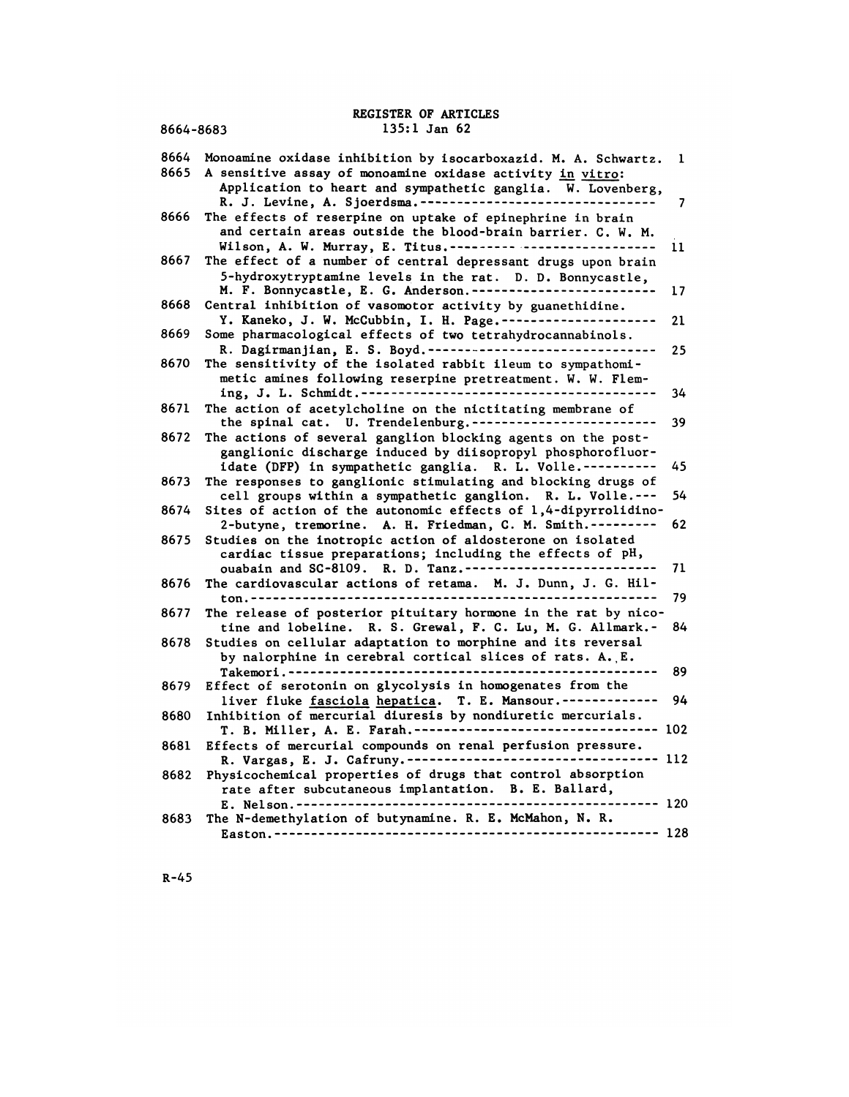## REGISTER OF ARTICLES<br>135:1 Jan 62 REGISTER OF ARTICLES<br>8664-8683<br>2664-8683

| 8664-8683 | REGISTER OF ARTICLES<br>$135:1$ Jan $62$                                                                                                                                                  |    |
|-----------|-------------------------------------------------------------------------------------------------------------------------------------------------------------------------------------------|----|
| 8664      | Monoamine oxidase inhibition by isocarboxazid. M. A. Schwartz.                                                                                                                            | 1  |
| 8665      | A sensitive assay of monoamine oxidase activity in vitro:<br>Application to heart and sympathetic ganglia. W. Lovenberg,<br>R. J. Levine, A. Sjoerdsma. ----------------------------      | 7  |
| 8666      | The effects of reserpine on uptake of epinephrine in brain<br>and certain areas outside the blood-brain barrier. C. W. M.<br>Wilson, A. W. Murray, E. Titus.--------- ------------------- | 11 |
| 8667      | The effect of a number of central depressant drugs upon brain<br>5-hydroxytryptamine levels in the rat. D. D. Bonnycastle,<br>M. F. Bonnycastle, E. G. Anderson. ------------------       | 17 |
| 8668      | Central inhibition of vasomotor activity by guanethidine.<br>Y. Kaneko, J. W. McCubbin, I. H. Page. ---------------------                                                                 | 21 |
| 8669      | Some pharmacological effects of two tetrahydrocannabinols.<br>R. Dagirmanjian, E. S. Boyd. --------------------------------                                                               | 25 |
| 8670      | The sensitivity of the isolated rabbit ileum to sympathomi-<br>metic amines following reserpine pretreatment. W. W. Flem-<br>ing, J. L. Schmidt. -----------------------------------<br>. | 34 |
| 8671      | The action of acetylcholine on the nictitating membrane of<br>the spinal cat. U. Trendelenburg. -------------------                                                                       | 39 |
| 8672      | The actions of several ganglion blocking agents on the post-<br>ganglionic discharge induced by diisopropyl phosphorofluor-<br>idate (DFP) in sympathetic ganglia. R. L. Volle.---------- | 45 |
| 8673      | The responses to ganglionic stimulating and blocking drugs of<br>cell groups within a sympathetic ganglion. R. L. Volle.---                                                               | 54 |
| 8674      | Sites of action of the autonomic effects of 1,4-dipyrrolidino-<br>2-butyne, tremorine. A. H. Friedman, C. M. Smith.-----                                                                  | 62 |
| 8675      | Studies on the inotropic action of aldosterone on isolated<br>cardiac tissue preparations; including the effects of pH,<br>ouabain and SC-8109. R. D. Tanz.--------------------------     | 71 |
| 8676      | The cardiovascular actions of retama. M. J. Dunn, J. G. Hil-                                                                                                                              | 79 |
| 8677      | The release of posterior pituitary hormone in the rat by nico-<br>tine and lobeline. R. S. Grewal, F. C. Lu, M. G. Allmark.-                                                              | 84 |
| 8678      | Studies on cellular adaptation to morphine and its reversal<br>by nalorphine in cerebral cortical slices of rats. A., E.<br>Takemori.-----------                                          | 89 |
| 8679      | Effect of serotonin on glycolysis in homogenates from the<br>liver fluke fasciola hepatica. T. E. Mansour.-------------                                                                   | 94 |
| 8680      | Inhibition of mercurial diuresis by nondiuretic mercurials.<br>T. B. Miller, A. E. Farah.--------------------------------- 102                                                            |    |
| 8681      | Effects of mercurial compounds on renal perfusion pressure.<br>R. Vargas, E. J. Cafruny. ----------------------------------- 112                                                          |    |
| 8682      | Physicochemical properties of drugs that control absorption<br>rate after subcutaneous implantation. B. E. Ballard,                                                                       |    |
| 8683      | The N-demethylation of butynamine. R. E. McMahon, N. R.                                                                                                                                   |    |

R-45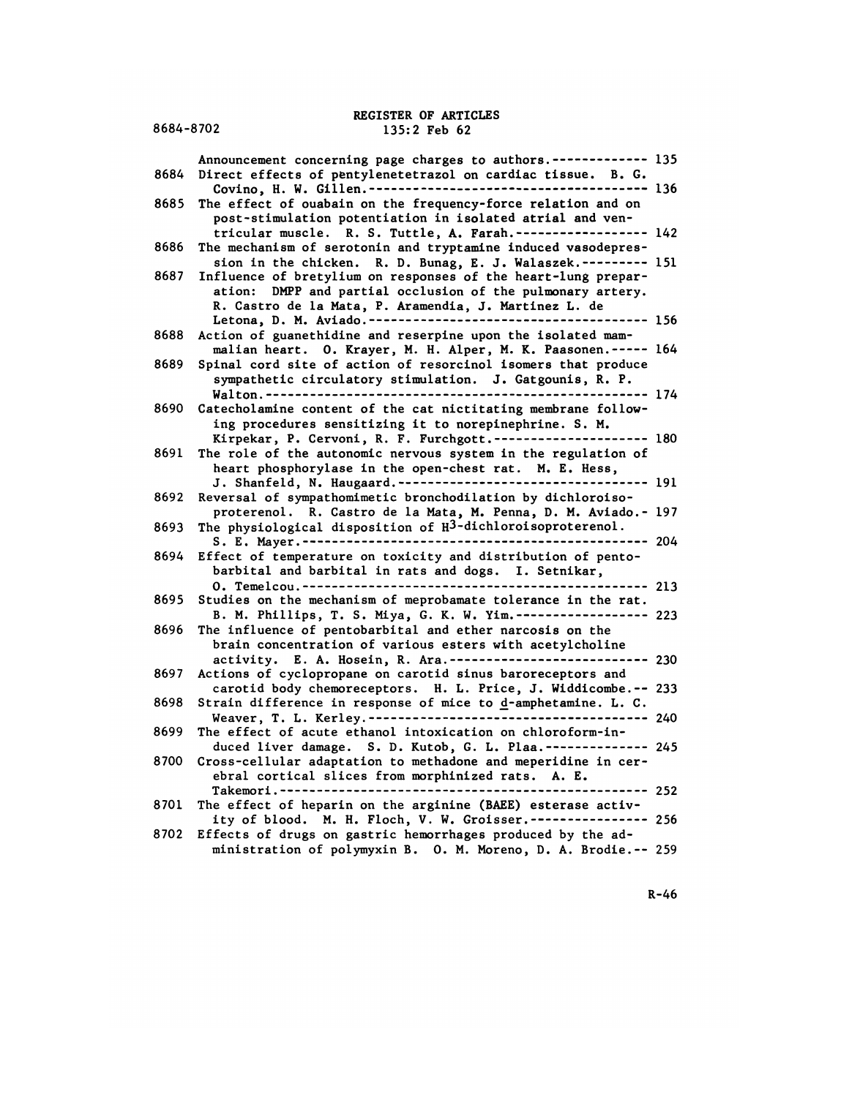## REGISTER OF ARTICLES<br>135:2 Feb 62 REGISTER OF ARTICLES<br>8684-8702 135:2 Feb 62

| 8684-8702 | REGISTER OF ARTICLES<br>135:2 Feb 62                                                                                                                                                                                                                           |         |
|-----------|----------------------------------------------------------------------------------------------------------------------------------------------------------------------------------------------------------------------------------------------------------------|---------|
|           | Announcement concerning page charges to authors. ------------- 135                                                                                                                                                                                             |         |
| 8684      | Direct effects of pentylenetetrazol on cardiac tissue. B. G.                                                                                                                                                                                                   |         |
| 8685      | The effect of ouabain on the frequency-force relation and on<br>post-stimulation potentiation in isolated atrial and ven-<br>tricular muscle. R. S. Tuttle, A. Farah. ------------------ 142                                                                   |         |
| 8686      | The mechanism of serotonin and tryptamine induced vasodepres-<br>sion in the chicken. R. D. Bunag, E. J. Walaszek.--------- 151                                                                                                                                |         |
| 8687      | Influence of bretylium on responses of the heart-lung prepar-<br>ation: DMPP and partial occlusion of the pulmonary artery.<br>R. Castro de la Mata, P. Aramendia, J. Martinez L. de                                                                           |         |
| 8688      | Action of guanethidine and reserpine upon the isolated mam-                                                                                                                                                                                                    |         |
|           | malian heart. O. Krayer, M. H. Alper, M. K. Paasonen.----- 164                                                                                                                                                                                                 |         |
| 8689      | Spinal cord site of action of resorcinol isomers that produce<br>sympathetic circulatory stimulation. J. Gatgounis, R. P.<br>Walton. -----------------------------------<br>-------------- 174                                                                 |         |
| 8690      | Catecholamine content of the cat nictitating membrane follow-<br>ing procedures sensitizing it to norepinephrine. S. M.                                                                                                                                        |         |
| 8691      | Kirpekar, P. Cervoni, R. F. Furchgott.--------------------- 180<br>The role of the autonomic nervous system in the regulation of<br>heart phosphorylase in the open-chest rat. M. E. Hess,<br>J. Shanfeld, N. Haugaard. ---------------------------------- 191 |         |
| 8692      | Reversal of sympathomimetic bronchodilation by dichloroiso-<br>proterenol. R. Castro de la Mata, M. Penna, D. M. Aviado.- 197                                                                                                                                  |         |
| 8693      | The physiological disposition of H3-dichloroisoproterenol.<br>S. E. Mayer. -------------------                                                                                                                                                                 | --- 204 |
| 8694      | Effect of temperature on toxicity and distribution of pento-<br>barbital and barbital in rats and dogs. I. Setnikar,                                                                                                                                           |         |
| 8695      | Studies on the mechanism of meprobamate tolerance in the rat.<br>B. M. Phillips, T. S. Miya, G. K. W. Yim. ------------------ 223                                                                                                                              |         |
| 8696      | The influence of pentobarbital and ether narcosis on the<br>brain concentration of various esters with acetylcholine<br>activity. E. A. Hosein, R. Ara.--------------------------- 230                                                                         |         |
| 8697      | Actions of cyclopropane on carotid sinus baroreceptors and<br>carotid body chemoreceptors. H. L. Price, J. Widdicombe.-- 233                                                                                                                                   |         |
| 8698      | Strain difference in response of mice to d-amphetamine. L. C.                                                                                                                                                                                                  |         |
| 8699      | The effect of acute ethanol intoxication on chloroform-in-<br>duced liver damage. S. D. Kutob, G. L. Plaa.-------------- 245                                                                                                                                   |         |
| 8700      | Cross-cellular adaptation to methadone and meperidine in cer-<br>ebral cortical slices from morphinized rats. A. E.<br>Takemori.--                                                                                                                             | -- 252  |
| 8701      | The effect of heparin on the arginine (BAEE) esterase activ-<br>ity of blood. M. H. Floch, V. W. Groisser.--------------- 256                                                                                                                                  |         |
| 8702      | Effects of drugs on gastric hemorrhages produced by the ad-<br>ministration of polymyxin B. O. M. Moreno, D. A. Brodie.-- 259                                                                                                                                  |         |
|           |                                                                                                                                                                                                                                                                |         |